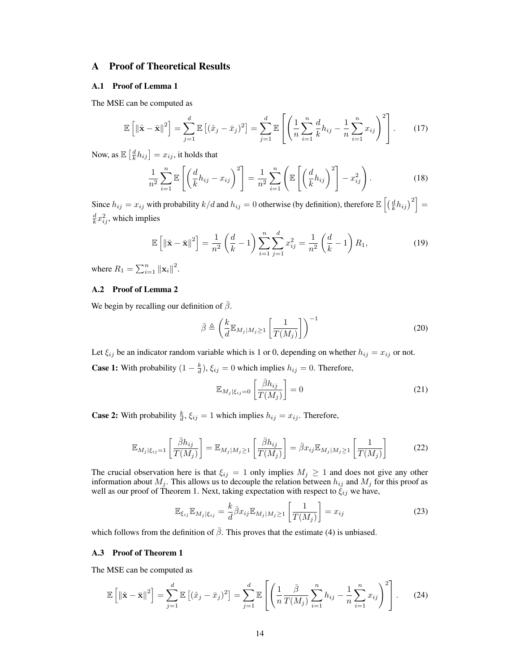# A Proof of Theoretical Results

## A.1 Proof of Lemma 1

The MSE can be computed as

$$
\mathbb{E}\left[\left\|\hat{\mathbf{x}}-\bar{\mathbf{x}}\right\|^2\right] = \sum_{j=1}^d \mathbb{E}\left[(\hat{x}_j-\bar{x}_j)^2\right] = \sum_{j=1}^d \mathbb{E}\left[\left(\frac{1}{n}\sum_{i=1}^n \frac{d}{k}h_{ij} - \frac{1}{n}\sum_{i=1}^n x_{ij}\right)^2\right].
$$
 (17)

Now, as  $\mathbb{E}\left[\frac{d}{k}h_{ij}\right]=x_{ij},$  it holds that

$$
\frac{1}{n^2} \sum_{i=1}^n \mathbb{E}\left[\left(\frac{d}{k}h_{ij} - x_{ij}\right)^2\right] = \frac{1}{n^2} \sum_{i=1}^n \left(\mathbb{E}\left[\left(\frac{d}{k}h_{ij}\right)^2\right] - x_{ij}^2\right).
$$
\n(18)

Since  $h_{ij} = x_{ij}$  with probability  $k/d$  and  $h_{ij} = 0$  otherwise (by definition), therefore  $\mathbb{E}\left[\left(\frac{d}{k}h_{ij}\right)^2\right] =$  $\frac{d}{k}x_{ij}^2$ , which implies

$$
\mathbb{E}\left[\left\|\hat{\mathbf{x}} - \bar{\mathbf{x}}\right\|^2\right] = \frac{1}{n^2} \left(\frac{d}{k} - 1\right) \sum_{i=1}^n \sum_{j=1}^d x_{ij}^2 = \frac{1}{n^2} \left(\frac{d}{k} - 1\right) R_1,\tag{19}
$$

where  $R_1 = \sum_{i=1}^n ||\mathbf{x}_i||^2$ .

## A.2 Proof of Lemma 2

We begin by recalling our definition of  $\bar{\beta}$ .

$$
\bar{\beta} \triangleq \left(\frac{k}{d} \mathbb{E}_{M_j|M_j \ge 1} \left[\frac{1}{T(M_j)}\right]\right)^{-1} \tag{20}
$$

Let  $\xi_{ij}$  be an indicator random variable which is 1 or 0, depending on whether  $h_{ij} = x_{ij}$  or not. **Case 1:** With probability  $(1 - \frac{k}{d}), \xi_{ij} = 0$  which implies  $h_{ij} = 0$ . Therefore,

$$
\mathbb{E}_{M_j|\xi_{ij}=0} \left[ \frac{\bar{\beta}h_{ij}}{T(M_j)} \right] = 0 \tag{21}
$$

**Case 2:** With probability  $\frac{k}{d}$ ,  $\xi_{ij} = 1$  which implies  $h_{ij} = x_{ij}$ . Therefore,

$$
\mathbb{E}_{M_j|\xi_{ij}=1} \left[ \frac{\bar{\beta}h_{ij}}{T(M_j)} \right] = \mathbb{E}_{M_j|M_j \ge 1} \left[ \frac{\bar{\beta}h_{ij}}{T(M_j)} \right] = \bar{\beta}x_{ij}\mathbb{E}_{M_j|M_j \ge 1} \left[ \frac{1}{T(M_j)} \right] \tag{22}
$$

The crucial observation here is that  $\xi_{ij} = 1$  only implies  $M_j \ge 1$  and does not give any other information about  $M_j$ . This allows us to decouple the relation between  $h_{ij}$  and  $M_j$  for this proof as well as our proof of Theorem 1. Next, taking expectation with respect to  $\xi_{ij}$  we have,

$$
\mathbb{E}_{\xi_{ij}}\mathbb{E}_{M_j|\xi_{ij}} = \frac{k}{d}\bar{\beta}x_{ij}\mathbb{E}_{M_j|M_j\geq 1}\left[\frac{1}{T(M_j)}\right] = x_{ij}
$$
\n(23)

which follows from the definition of  $\bar{\beta}$ . This proves that the estimate (4) is unbiased.

### A.3 Proof of Theorem 1

The MSE can be computed as

$$
\mathbb{E}\left[\left\|\hat{\mathbf{x}}-\bar{\mathbf{x}}\right\|^2\right] = \sum_{j=1}^d \mathbb{E}\left[(\hat{x}_j-\bar{x}_j)^2\right] = \sum_{j=1}^d \mathbb{E}\left[\left(\frac{1}{n}\frac{\bar{\beta}}{T(M_j)}\sum_{i=1}^n h_{ij} - \frac{1}{n}\sum_{i=1}^n x_{ij}\right)^2\right].
$$
 (24)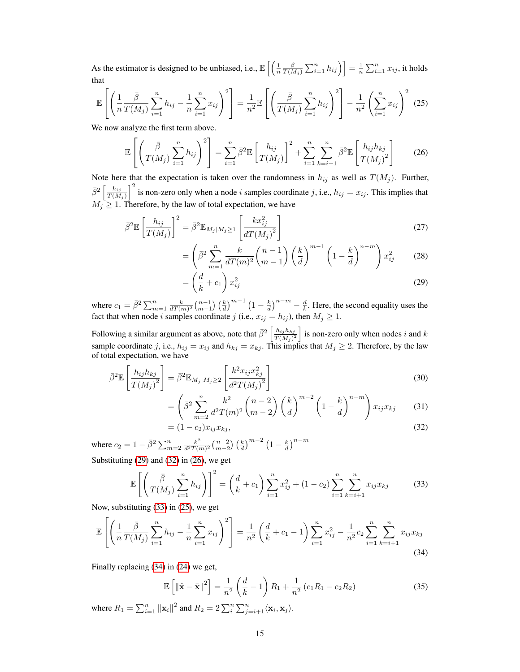As the estimator is designed to be unbiased, i.e.,  $\mathbb{E}\left[\left(\frac{1}{n}\frac{\bar{\beta}}{T(h)}\right)\right]$  $\left[ \frac{\bar{\beta}}{T(M_j)}\sum_{i=1}^n h_{ij} \right) \bigg] = \frac{1}{n}\sum_{i=1}^n x_{ij},$  it holds that

$$
\mathbb{E}\left[\left(\frac{1}{n}\frac{\bar{\beta}}{T(M_j)}\sum_{i=1}^n h_{ij} - \frac{1}{n}\sum_{i=1}^n x_{ij}\right)^2\right] = \frac{1}{n^2} \mathbb{E}\left[\left(\frac{\bar{\beta}}{T(M_j)}\sum_{i=1}^n h_{ij}\right)^2\right] - \frac{1}{n^2} \left(\sum_{i=1}^n x_{ij}\right)^2 \tag{25}
$$

We now analyze the first term above.

$$
\mathbb{E}\left[\left(\frac{\bar{\beta}}{T(M_j)}\sum_{i=1}^n h_{ij}\right)^2\right] = \sum_{i=1}^n \bar{\beta}^2 \mathbb{E}\left[\frac{h_{ij}}{T(M_j)}\right]^2 + \sum_{i=1}^n \sum_{k=i+1}^n \bar{\beta}^2 \mathbb{E}\left[\frac{h_{ij}h_{kj}}{T(M_j)^2}\right]
$$
(26)

Note here that the expectation is taken over the randomness in  $h_{ij}$  as well as  $T(M_i)$ . Further,  $\bar{\beta}^2\left[\frac{h_{ij}}{T(M)}\right]$  $\left(\frac{h_{ij}}{T(M_j)}\right)^2$  is non-zero only when a node i samples coordinate j, i.e.,  $h_{ij} = x_{ij}$ . This implies that  $M_j \geq 1$ . Therefore, by the law of total expectation, we have

$$
\bar{\beta}^2 \mathbb{E}\left[\frac{h_{ij}}{T(M_j)}\right]^2 = \bar{\beta}^2 \mathbb{E}_{M_j|M_j \ge 1}\left[\frac{kx_{ij}^2}{dT(M_j)^2}\right]
$$
\n(27)

$$
= \left(\bar{\beta}^2 \sum_{m=1}^n \frac{k}{dT(m)^2} {n-1 \choose m-1} \left(\frac{k}{d}\right)^{m-1} \left(1 - \frac{k}{d}\right)^{n-m}\right) x_{ij}^2 \tag{28}
$$

$$
= \left(\frac{d}{k} + c_1\right)x_{ij}^2\tag{29}
$$

where  $c_1 = \bar{\beta}^2 \sum_{m=1}^n \frac{k}{dT(m)^2} {n-1 \choose m-1} \left(\frac{k}{d}\right)^{m-1} \left(1 - \frac{k}{d}\right)^{n-m} - \frac{d}{k}$ . Here, the second equality uses the fact that when node *i* samples coordinate *j* (i.e.,  $x_{ij} = h_{ij}$ ), then  $M_j \ge 1$ .

Following a similar argument as above, note that  $\bar{\beta}^2 \left[ \frac{h_{ij} h_{kj}}{T(M)} \right]$  $\left(\frac{h_{ij}h_{kj}}{T(M_j)^2}\right)$  is non-zero only when nodes i and k sample coordinate j, i.e.,  $h_{ij} = x_{ij}$  and  $h_{kj} = x_{kj}$ . This implies that  $M_j \ge 2$ . Therefore, by the law of total expectation, we have

$$
\bar{\beta}^{2} \mathbb{E}\left[\frac{h_{ij}h_{kj}}{T(M_{j})^{2}}\right] = \bar{\beta}^{2} \mathbb{E}_{M_{j}|M_{j}\geq 2}\left[\frac{k^{2}x_{ij}x_{kj}^{2}}{d^{2}T(M_{j})^{2}}\right]
$$
\n(30)

$$
= \left(\bar{\beta}^2 \sum_{m=2}^n \frac{k^2}{d^2 T(m)^2} {n-2 \choose m-2} \left(\frac{k}{d}\right)^{m-2} \left(1 - \frac{k}{d}\right)^{n-m}\right) x_{ij} x_{kj} \tag{31}
$$

$$
= (1 - c_2)x_{ij}x_{kj}, \tag{32}
$$

where  $c_2 = 1 - \bar{\beta}^2 \sum_{m=2}^n \frac{k^2}{d^2 T(r)}$  $\frac{k^2}{d^2T(m)^2} \binom{n-2}{m-2} \left(\frac{k}{d}\right)^{m-2} \left(1-\frac{k}{d}\right)^{n-m}$ Substituting [\(29\)](#page-14-0) and [\(32\)](#page-14-0) in [\(26\)](#page-14-0), we get

 $\sqrt{2}$ 

$$
\mathbb{E}\left[\left(\frac{\bar{\beta}}{T(M_j)}\sum_{i=1}^n h_{ij}\right)\right]^2 = \left(\frac{d}{k} + c_1\right)\sum_{i=1}^n x_{ij}^2 + (1 - c_2)\sum_{i=1}^n \sum_{k=i+1}^n x_{ij} x_{kj}
$$
(33)

Now, substituting [\(33\)](#page-14-0) in [\(25\)](#page-14-0), we get

$$
\mathbb{E}\left[\left(\frac{1}{n}\frac{\bar{\beta}}{T(M_j)}\sum_{i=1}^n h_{ij} - \frac{1}{n}\sum_{i=1}^n x_{ij}\right)^2\right] = \frac{1}{n^2} \left(\frac{d}{k} + c_1 - 1\right) \sum_{i=1}^n x_{ij}^2 - \frac{1}{n^2} c_2 \sum_{i=1}^n \sum_{k=i+1}^n x_{ij} x_{kj}
$$
\n(34)

Finally replacing [\(34\)](#page-14-0) in [\(24\)](#page-13-0) we get,

$$
\mathbb{E}\left[\left\|\hat{\mathbf{x}} - \bar{\mathbf{x}}\right\|^2\right] = \frac{1}{n^2} \left(\frac{d}{k} - 1\right) R_1 + \frac{1}{n^2} \left(c_1 R_1 - c_2 R_2\right)
$$
(35)

where  $R_1 = \sum_{i=1}^n ||\mathbf{x}_i||^2$  and  $R_2 = 2\sum_{i=1}^n \sum_{j=i+1}^n \langle \mathbf{x}_i, \mathbf{x}_j \rangle$ .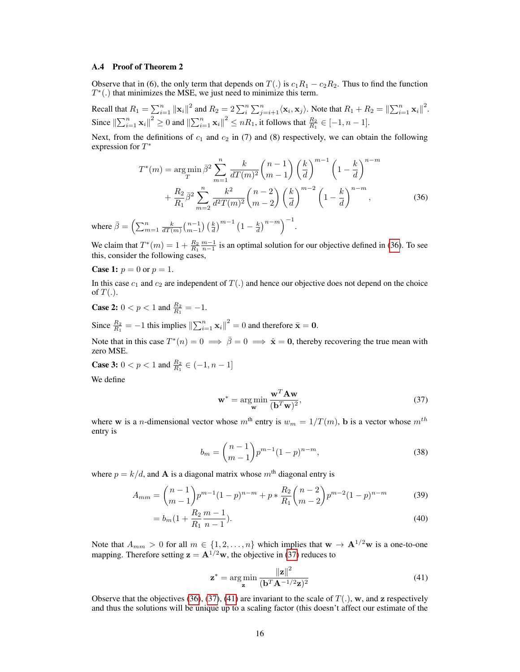## A.4 Proof of Theorem 2

Observe that in (6), the only term that depends on  $T(.)$  is  $c_1R_1 - c_2R_2$ . Thus to find the function  $T^*(.)$  that minimizes the MSE, we just need to minimize this term.

Recall that  $R_1 = \sum_{i=1}^n ||\mathbf{x}_i||^2$  and  $R_2 = 2 \sum_{i=1}^n \sum_{j=i+1}^n \langle \mathbf{x}_i, \mathbf{x}_j \rangle$ . Note that  $R_1 + R_2 = ||\sum_{i=1}^n \mathbf{x}_i||^2$ . Since  $\left\|\sum_{i=1}^n \mathbf{x}_i\right\|^2 \ge 0$  and  $\left\|\sum_{i=1}^n \mathbf{x}_i\right\|^2 \le nR_1$ , it follows that  $\frac{R_2}{R_1} \in [-1, n-1]$ .

Next, from the definitions of  $c_1$  and  $c_2$  in (7) and (8) respectively, we can obtain the following expression for  $T^*$ 

$$
T^{*}(m) = \underset{T}{\arg\min} \,\bar{\beta}^{2} \sum_{m=1}^{n} \frac{k}{dT(m)^{2}} \binom{n-1}{m-1} \left(\frac{k}{d}\right)^{m-1} \left(1 - \frac{k}{d}\right)^{n-m} + \frac{R_{2}}{R_{1}} \bar{\beta}^{2} \sum_{m=2}^{n} \frac{k^{2}}{d^{2}T(m)^{2}} \binom{n-2}{m-2} \left(\frac{k}{d}\right)^{m-2} \left(1 - \frac{k}{d}\right)^{n-m}, \tag{36}
$$

where  $\bar{\beta} = \left(\sum_{m=1}^{n} \frac{k}{dT(m)} {n-1 \choose m-1} \left(\frac{k}{d}\right)^{m-1} \left(1 - \frac{k}{d}\right)^{n-m}\right)^{-1}$ .

We claim that  $T^*(m) = 1 + \frac{R_2}{R_1} \frac{m-1}{n-1}$  is an optimal solution for our objective defined in (36). To see this, consider the following cases,

**Case 1:**  $p = 0$  or  $p = 1$ .

In this case  $c_1$  and  $c_2$  are independent of  $T(.)$  and hence our objective does not depend on the choice of  $T(.)$ .

**Case 2:**  $0 < p < 1$  and  $\frac{R_2}{R_1} = -1$ .

Since  $\frac{R_2}{R_1} = -1$  this implies  $\left\| \sum_{i=1}^n \mathbf{x}_i \right\|^2 = 0$  and therefore  $\bar{\mathbf{x}} = \mathbf{0}$ .

Note that in this case  $T^*(n) = 0 \implies \bar{\beta} = 0 \implies \hat{\mathbf{x}} = \mathbf{0}$ , thereby recovering the true mean with zero MSE.

**Case 3:** 
$$
0 < p < 1
$$
 and  $\frac{R_2}{R_1} \in (-1, n-1]$ 

We define

$$
\mathbf{w}^* = \underset{\mathbf{w}}{\arg\min} \frac{\mathbf{w}^T \mathbf{A} \mathbf{w}}{(\mathbf{b}^T \mathbf{w})^2},\tag{37}
$$

where w is a *n*-dimensional vector whose  $m^{\text{th}}$  entry is  $w_m = 1/T(m)$ , **b** is a vector whose  $m^{\text{th}}$ entry is

$$
b_m = \binom{n-1}{m-1} p^{m-1} (1-p)^{n-m},\tag{38}
$$

where  $p = k/d$ , and **A** is a diagonal matrix whose  $m<sup>th</sup>$  diagonal entry is

$$
A_{mm} = {n-1 \choose m-1} p^{m-1} (1-p)^{n-m} + p * \frac{R_2}{R_1} {n-2 \choose m-2} p^{m-2} (1-p)^{n-m}
$$
(39)

$$
=b_m\left(1+\frac{R_2}{R_1}\frac{m-1}{n-1}\right). \tag{40}
$$

Note that  $A_{mm} > 0$  for all  $m \in \{1, 2, ..., n\}$  which implies that  $w \to A^{1/2}w$  is a one-to-one mapping. Therefore setting  $z = A^{1/2}w$ , the objective in (37) reduces to

$$
\mathbf{z}^* = \underset{\mathbf{z}}{\arg\min} \frac{\left\| \mathbf{z} \right\|^2}{(\mathbf{b}^T \mathbf{A}^{-1/2} \mathbf{z})^2} \tag{41}
$$

Observe that the objectives (36), (37), (41) are invariant to the scale of  $T(.)$ , w, and z respectively and thus the solutions will be unique up to a scaling factor (this doesn't affect our estimate of the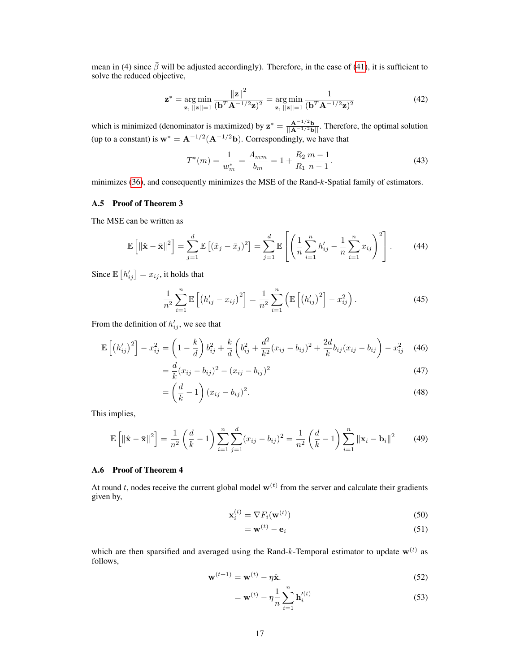mean in (4) since  $\bar{\beta}$  will be adjusted accordingly). Therefore, in the case of (41), it is sufficient to solve the reduced objective,

$$
\mathbf{z}^* = \underset{\mathbf{z}, \; ||\mathbf{z}|| = 1}{\arg \min} \frac{\|\mathbf{z}\|^2}{(\mathbf{b}^T \mathbf{A}^{-1/2} \mathbf{z})^2} = \underset{\mathbf{z}, \; ||\mathbf{z}|| = 1}{\arg \min} \frac{1}{(\mathbf{b}^T \mathbf{A}^{-1/2} \mathbf{z})^2}
$$
(42)

which is minimized (denominator is maximized) by  $z^* = \frac{A^{-1/2}b}{||A^{-1/2}b||}$ . Therefore, the optimal solution (up to a constant) is  $w^* = A^{-1/2}(A^{-1/2}b)$ . Correspondingly, we have that

$$
T^*(m) = \frac{1}{w_m^*} = \frac{A_{mm}}{b_m} = 1 + \frac{R_2}{R_1} \frac{m-1}{n-1}.
$$
\n(43)

minimizes (36), and consequently minimizes the MSE of the Rand-k-Spatial family of estimators.

## A.5 Proof of Theorem 3

The MSE can be written as

$$
\mathbb{E}\left[\left\|\hat{\mathbf{x}}-\bar{\mathbf{x}}\right\|^2\right] = \sum_{j=1}^d \mathbb{E}\left[(\hat{x}_j-\bar{x}_j)^2\right] = \sum_{j=1}^d \mathbb{E}\left[\left(\frac{1}{n}\sum_{i=1}^n h'_{ij}-\frac{1}{n}\sum_{i=1}^n x_{ij}\right)^2\right].\tag{44}
$$

Since  $\mathbb{E}\left[h'_{ij}\right] = x_{ij}$ , it holds that

$$
\frac{1}{n^2} \sum_{i=1}^n \mathbb{E} \left[ \left( h'_{ij} - x_{ij} \right)^2 \right] = \frac{1}{n^2} \sum_{i=1}^n \left( \mathbb{E} \left[ \left( h'_{ij} \right)^2 \right] - x_{ij}^2 \right).
$$
 (45)

From the definition of  $h'_{ij}$ , we see that

=

$$
\mathbb{E}\left[\left(h'_{ij}\right)^2\right] - x_{ij}^2 = \left(1 - \frac{k}{d}\right)b_{ij}^2 + \frac{k}{d}\left(b_{ij}^2 + \frac{d^2}{k^2}(x_{ij} - b_{ij})^2 + \frac{2d}{k}b_{ij}(x_{ij} - b_{ij}) - x_{ij}^2\right)
$$
(46)

$$
=\frac{d}{k}(x_{ij}-b_{ij})^2-(x_{ij}-b_{ij})^2
$$
\n(47)

$$
\left(\frac{d}{k} - 1\right)(x_{ij} - b_{ij})^2. \tag{48}
$$

This implies,

$$
\mathbb{E}\left[\|\hat{\mathbf{x}} - \bar{\mathbf{x}}\|^2\right] = \frac{1}{n^2} \left(\frac{d}{k} - 1\right) \sum_{i=1}^n \sum_{j=1}^d (x_{ij} - b_{ij})^2 = \frac{1}{n^2} \left(\frac{d}{k} - 1\right) \sum_{i=1}^n \|\mathbf{x}_i - \mathbf{b}_i\|^2 \tag{49}
$$

### A.6 Proof of Theorem 4

At round t, nodes receive the current global model  $w^{(t)}$  from the server and calculate their gradients given by,

$$
\mathbf{x}_i^{(t)} = \nabla F_i(\mathbf{w}^{(t)})
$$
\n(50)

$$
=\mathbf{w}^{(t)}-\mathbf{e}_i\tag{51}
$$

which are then sparsified and averaged using the Rand-k-Temporal estimator to update  $\mathbf{w}^{(t)}$  as follows,

$$
\mathbf{w}^{(t+1)} = \mathbf{w}^{(t)} - \eta \hat{\mathbf{x}}.\tag{52}
$$

$$
= \mathbf{w}^{(t)} - \eta \frac{1}{n} \sum_{i=1}^{n} \mathbf{h}'^{(t)}_i
$$
 (53)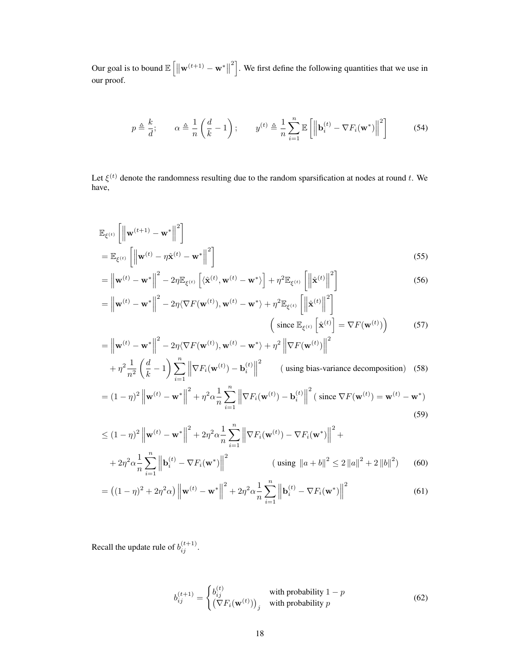Our goal is to bound  $\mathbb{E}\left[\left\|\mathbf{w}^{(t+1)} - \mathbf{w}^*\right\|\right]$  $\left\lfloor \frac{2}{1} \right\rfloor$ . We first define the following quantities that we use in our proof.

$$
p \triangleq \frac{k}{d}; \qquad \alpha \triangleq \frac{1}{n} \left( \frac{d}{k} - 1 \right); \qquad y^{(t)} \triangleq \frac{1}{n} \sum_{i=1}^{n} \mathbb{E} \left[ \left\| \mathbf{b}_{i}^{(t)} - \nabla F_{i}(\mathbf{w}^{*}) \right\|^{2} \right] \tag{54}
$$

Let  $\xi^{(t)}$  denote the randomness resulting due to the random sparsification at nodes at round t. We have,

$$
\mathbb{E}_{\xi^{(t)}} \left[ \left\| \mathbf{w}^{(t+1)} - \mathbf{w}^* \right\|^2 \right]
$$
\n
$$
= \mathbb{E}_{\xi^{(t)}} \left[ \left\| \mathbf{w}^{(t)} - \eta \hat{\mathbf{x}}^{(t)} - \mathbf{w}^* \right\|^2 \right]
$$
\n
$$
(55)
$$

$$
= \left\| \mathbf{w}^{(t)} - \mathbf{w}^* \right\|^2 - 2\eta \mathbb{E}_{\xi^{(t)}} \left[ \langle \hat{\mathbf{x}}^{(t)}, \mathbf{w}^{(t)} - \mathbf{w}^* \rangle \right] + \eta^2 \mathbb{E}_{\xi^{(t)}} \left[ \left\| \hat{\mathbf{x}}^{(t)} \right\|^2 \right]
$$
  
\n
$$
= \left\| \mathbf{w}^{(t)} - \mathbf{w}^* \right\|^2 - 2\eta \langle \nabla F(\mathbf{w}^{(t)}), \mathbf{w}^{(t)} - \mathbf{w}^* \rangle + \eta^2 \mathbb{E}_{\xi^{(t)}} \left[ \left\| \hat{\mathbf{x}}^{(t)} \right\|^2 \right]
$$
\n(56)

$$
= \left\| \mathbf{w}^{(t)} - \mathbf{w}^* \right\|^2 - 2\eta \langle \nabla F(\mathbf{w}^{(t)}), \mathbf{w}^{(t)} - \mathbf{w}^* \rangle + \eta^2 \mathbb{E}_{\xi^{(t)}} \left[ \left\| \hat{\mathbf{x}}^{(t)} \right\|^2 \right] \tag{57}
$$
\n
$$
\left( \text{ since } \mathbb{E}_{\xi^{(t)}} \left[ \hat{\mathbf{x}}^{(t)} \right] = \nabla F(\mathbf{w}^{(t)}) \right) \tag{57}
$$

$$
= \left\| \mathbf{w}^{(t)} - \mathbf{w}^* \right\|^2 - 2\eta \langle \nabla F(\mathbf{w}^{(t)}), \mathbf{w}^{(t)} - \mathbf{w}^* \rangle + \eta^2 \left\| \nabla F(\mathbf{w}^{(t)}) \right\|^2
$$
  
+  $\eta^2 \frac{1}{n^2} \left( \frac{d}{k} - 1 \right) \sum_{i=1}^n \left\| \nabla F_i(\mathbf{w}^{(t)}) - \mathbf{b}_i^{(t)} \right\|^2$  (using bias-variance decomposition) (58)

$$
= (1 - \eta)^2 \left\| \mathbf{w}^{(t)} - \mathbf{w}^* \right\|^2 + \eta^2 \alpha \frac{1}{n} \sum_{i=1}^n \left\| \nabla F_i(\mathbf{w}^{(t)}) - \mathbf{b}_i^{(t)} \right\|^2 (\text{ since } \nabla F(\mathbf{w}^{(t)}) = \mathbf{w}^{(t)} - \mathbf{w}^*)
$$
\n(59)

$$
\leq (1 - \eta)^2 \left\| \mathbf{w}^{(t)} - \mathbf{w}^* \right\|^2 + 2\eta^2 \alpha \frac{1}{n} \sum_{i=1}^n \left\| \nabla F_i(\mathbf{w}^{(t)}) - \nabla F_i(\mathbf{w}^*) \right\|^2 +
$$
  
+ 
$$
2\eta^2 \alpha \frac{1}{n} \sum_{i=1}^n \left\| \mathbf{b}_i^{(t)} - \nabla F_i(\mathbf{w}^*) \right\|^2 \qquad \text{(using } \|a + b\|^2 \leq 2 \|a\|^2 + 2 \|b\|^2) \qquad (60)
$$

$$
= ((1 - \eta)^2 + 2\eta^2 \alpha) \| \mathbf{w}^{(t)} - \mathbf{w}^* \|^2 + 2\eta^2 \alpha \frac{1}{n} \sum_{i=1}^n \| \mathbf{b}_i^{(t)} - \nabla F_i(\mathbf{w}^*) \|^2
$$
(61)

Recall the update rule of  $b_{ij}^{(t+1)}$ .

$$
b_{ij}^{(t+1)} = \begin{cases} b_{ij}^{(t)} & \text{with probability } 1 - p \\ (\nabla F_i(\mathbf{w}^{(t)}))_j & \text{with probability } p \end{cases}
$$
 (62)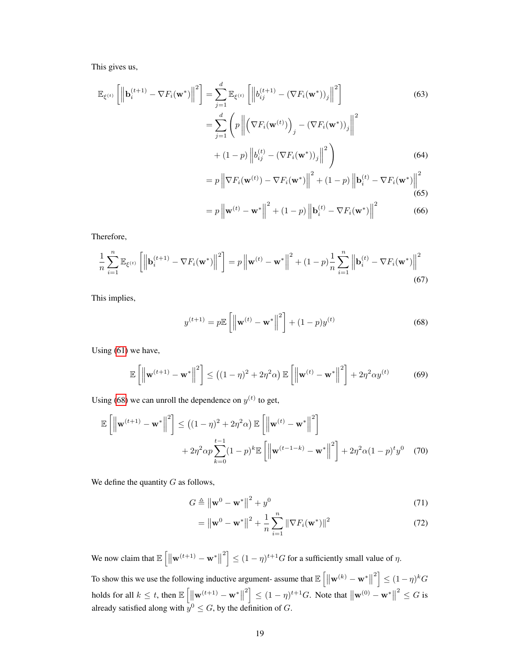This gives us,

$$
\mathbb{E}_{\xi^{(t)}}\left[\left\|\mathbf{b}_{i}^{(t+1)} - \nabla F_{i}(\mathbf{w}^{*})\right\|^{2}\right] = \sum_{j=1}^{d} \mathbb{E}_{\xi^{(t)}}\left[\left\|b_{ij}^{(t+1)} - (\nabla F_{i}(\mathbf{w}^{*}))_{j}\right\|^{2}\right]
$$
\n
$$
= \sum_{j=1}^{d} \left(p\left\|\left(\nabla F_{i}(\mathbf{w}^{(t)})\right)_{j} - (\nabla F_{i}(\mathbf{w}^{*}))_{j}\right\|^{2} + (1-p)\left\|b_{ij}^{(t)} - (\nabla F_{i}(\mathbf{w}^{*}))_{j}\right\|^{2}\right)
$$
\n
$$
= p\left\|\nabla F_{i}(\mathbf{w}^{(t)}) - \nabla F_{i}(\mathbf{w}^{*})\right\|^{2} + (1-p)\left\|\mathbf{b}_{i}^{(t)} - \nabla F_{i}(\mathbf{w}^{*})\right\|^{2}
$$
\n(64)

$$
=p\left\|\mathbf{w}^{(t)}-\mathbf{w}^*\right\|^2 + (1-p)\left\|\mathbf{b}_i^{(t)}-\nabla F_i(\mathbf{w}^*)\right\|^2 \tag{66}
$$

Therefore,

$$
\frac{1}{n} \sum_{i=1}^{n} \mathbb{E}_{\xi^{(t)}} \left[ \left\| \mathbf{b}_{i}^{(t+1)} - \nabla F_{i}(\mathbf{w}^{*}) \right\|^{2} \right] = p \left\| \mathbf{w}^{(t)} - \mathbf{w}^{*} \right\|^{2} + (1-p) \frac{1}{n} \sum_{i=1}^{n} \left\| \mathbf{b}_{i}^{(t)} - \nabla F_{i}(\mathbf{w}^{*}) \right\|^{2}
$$
\n(67)

This implies,

$$
y^{(t+1)} = p \mathbb{E}\left[\left\|\mathbf{w}^{(t)} - \mathbf{w}^*\right\|^2\right] + (1-p)y^{(t)}
$$
(68)

Using (61) we have,

$$
\mathbb{E}\left[\left\|\mathbf{w}^{(t+1)} - \mathbf{w}^*\right\|^2\right] \le \left((1-\eta)^2 + 2\eta^2\alpha\right)\mathbb{E}\left[\left\|\mathbf{w}^{(t)} - \mathbf{w}^*\right\|^2\right] + 2\eta^2\alpha y^{(t)}\tag{69}
$$

Using (68) we can unroll the dependence on  $y^{(t)}$  to get,

$$
\mathbb{E}\left[\left\|\mathbf{w}^{(t+1)} - \mathbf{w}^*\right\|^2\right] \le \left((1-\eta)^2 + 2\eta^2\alpha\right)\mathbb{E}\left[\left\|\mathbf{w}^{(t)} - \mathbf{w}^*\right\|^2\right] + 2\eta^2\alpha p \sum_{k=0}^{t-1} (1-p)^k \mathbb{E}\left[\left\|\mathbf{w}^{(t-1-k)} - \mathbf{w}^*\right\|^2\right] + 2\eta^2\alpha(1-p)^t y^0 \tag{70}
$$

We define the quantity  $G$  as follows,

$$
G \triangleq \left\| \mathbf{w}^0 - \mathbf{w}^* \right\|^2 + y^0 \tag{71}
$$

$$
= \left\| \mathbf{w}^0 - \mathbf{w}^* \right\|^2 + \frac{1}{n} \sum_{i=1}^n \left\| \nabla F_i(\mathbf{w}^*) \right\|^2 \tag{72}
$$

We now claim that  $\mathbb{E}\left[\left\|\mathbf{w}^{(t+1)} - \mathbf{w}^*\right\|\right]$  $\left| \mathcal{L}^2 \right| \leq (1 - \eta)^{t+1} G$  for a sufficiently small value of  $\eta$ .

To show this we use the following inductive argument- assume that  $\mathbb{E}\left[\|\mathbf{w}^{(k)} - \mathbf{w}^*\|\right]$  $\left[ \frac{2}{3} \right] \leq (1 - \eta)^k G$ holds for all  $k \leq t$ , then  $\mathbb{E}\left[\left\|\mathbf{w}^{(t+1)} - \mathbf{w}^*\right\|\right]$  $\mathbb{E}\left[2^2\right] \le (1 - \eta)^{t+1} G$ . Note that  $\|\mathbf{w}^{(0)} - \mathbf{w}^*\|$  $2^2 \leq G$  is already satisfied along with  $y^0 \leq G$ , by the definition of G.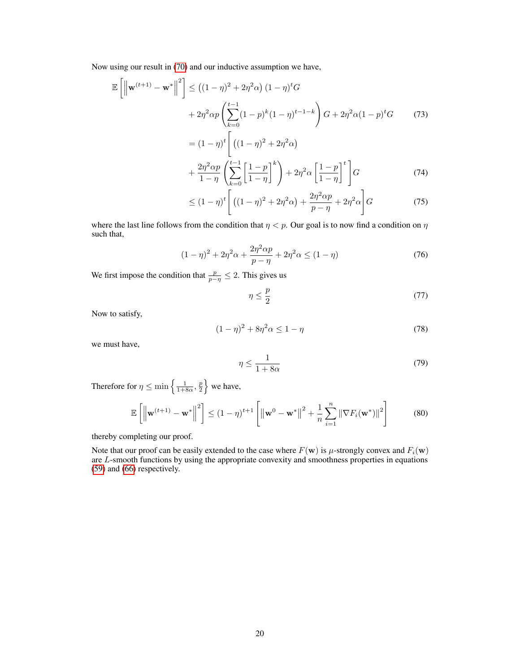Now using our result in (70) and our inductive assumption we have,

$$
\mathbb{E}\left[\left\|\mathbf{w}^{(t+1)} - \mathbf{w}^*\right\|^2\right] \le \left((1-\eta)^2 + 2\eta^2\alpha\right)(1-\eta)^t G
$$
  
+  $2\eta^2 \alpha p \left(\sum_{k=0}^{t-1} (1-p)^k (1-\eta)^{t-1-k}\right) G + 2\eta^2 \alpha (1-p)^t G$  (73)  
=  $(1-\eta)^t \left[ ((1-\eta)^2 + 2\eta^2\alpha)\right]$ 

$$
+\frac{2\eta^2\alpha p}{1-\eta}\left(\sum_{k=0}^{\lfloor t-1\rfloor}\left[\frac{1-p}{1-\eta}\right]^k\right)+2\eta^2\alpha\left[\frac{1-p}{1-\eta}\right]^t\right]G\tag{74}
$$

$$
\leq (1 - \eta)^{t} \left[ \left( (1 - \eta)^{2} + 2\eta^{2}\alpha \right) + \frac{2\eta^{2}\alpha p}{p - \eta} + 2\eta^{2}\alpha \right] G \tag{75}
$$

where the last line follows from the condition that  $\eta < p$ . Our goal is to now find a condition on  $\eta$ such that,

$$
(1 - \eta)^2 + 2\eta^2 \alpha + \frac{2\eta^2 \alpha p}{p - \eta} + 2\eta^2 \alpha \le (1 - \eta)
$$
\n(76)

We first impose the condition that  $\frac{p}{p-\eta} \leq 2$ . This gives us

$$
\eta \le \frac{p}{2} \tag{77}
$$

Now to satisfy,

$$
(1 - \eta)^2 + 8\eta^2 \alpha \le 1 - \eta \tag{78}
$$

we must have,

$$
\eta \le \frac{1}{1 + 8\alpha} \tag{79}
$$

Therefore for  $\eta \le \min\left\{\frac{1}{1+8\alpha}, \frac{p}{2}\right\}$  we have,

$$
\mathbb{E}\left[\left\|\mathbf{w}^{(t+1)} - \mathbf{w}^*\right\|^2\right] \le (1-\eta)^{t+1} \left[\left\|\mathbf{w}^0 - \mathbf{w}^*\right\|^2 + \frac{1}{n}\sum_{i=1}^n \|\nabla F_i(\mathbf{w}^*)\|^2\right] \tag{80}
$$

thereby completing our proof.

Note that our proof can be easily extended to the case where  $F(\mathbf{w})$  is  $\mu$ -strongly convex and  $F_i(\mathbf{w})$ are L-smooth functions by using the appropriate convexity and smoothness properties in equations (59) and (66) respectively.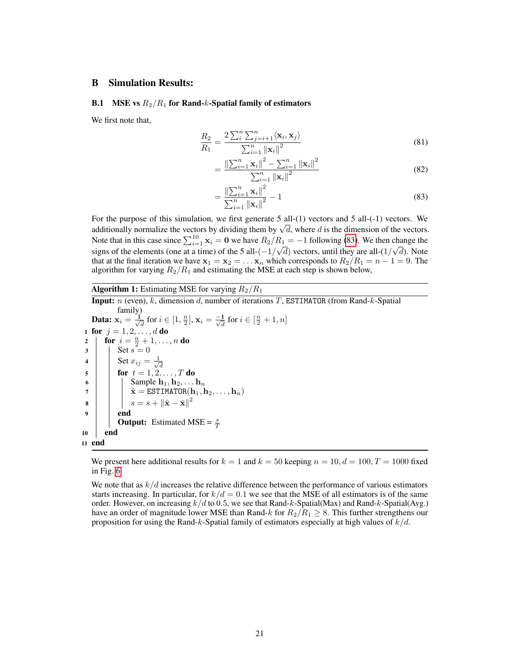# B Simulation Results:

## **B.1** MSE vs  $R_2/R_1$  for Rand-k-Spatial family of estimators

We first note that,

$$
\frac{R_2}{R_1} = \frac{2\sum_{i=1}^{n} \sum_{j=i+1}^{n} \langle \mathbf{x}_i, \mathbf{x}_j \rangle}{\sum_{i=1}^{n} ||\mathbf{x}_i||^2}
$$
(81)

$$
= \frac{\left\| \sum_{i=1}^{n} \mathbf{x}_{i} \right\|^{2} - \sum_{i=1}^{n} \left\| \mathbf{x}_{i} \right\|^{2}}{\sum_{i=1}^{n} \left\| \mathbf{x}_{i} \right\|^{2}}
$$
(82)

$$
=\frac{\left\|\sum_{i=1}^{n} \mathbf{x}_{i}\right\|^{2}}{\sum_{i=1}^{n} \left\|\mathbf{x}_{i}\right\|^{2}}-1
$$
\n(83)

For the purpose of this simulation, we first generate 5 all-(1) vectors and 5 all-(-1) vectors. We additionally normalize the vectors by dividing them by  $\sqrt{d}$ , where d is the dimension of the vectors. Note that in this case since  $\sum_{i=1}^{10} x_i = 0$  we have  $R_2/R_1 = -1$  following (83). We then change the signs of the elements (one at a time) of the 5 all- $\left(-\frac{1}{\sqrt{d}}\right)$  vectors, until they are all- $\left(\frac{1}{\sqrt{d}}\right)$ . Note that at the final iteration we have  $x_1 = x_2 = \ldots x_n$  which corresponds to  $R_2/R_1 = n - 1 = 9$ . The algorithm for varying  $R_2/R_1$  and estimating the MSE at each step is shown below,

**Algorithm 1:** Estimating MSE for varying  $R_2/R_1$ 

**Input:**  $n$  (even),  $k$ , dimension  $d$ , number of iterations  $T$ , ESTIMATOR (from Rand- $k$ -Spatial family) Data:  $x_i = \frac{1}{\sqrt{2}}$  $\frac{1}{d}$  for  $i \in [1, \frac{n}{2}], \mathbf{x}_i = \frac{-1}{\sqrt{d}}$  $\frac{1}{d}$  for  $i \in [\frac{n}{2} + 1, n]$ 1 for  $j = 1, 2, \ldots, d$  do 2  $\int$  for  $i = \frac{n}{2} + 1, \ldots, n$  do  $3 \mid \ \ \vert \ \ \text{Set} \ s = 0$ 4 | Set  $x_{ij} = \frac{1}{\sqrt{2}}$ d <sup>5</sup> for t = 1, 2, . . . , T do 6 | | | Sample  $\mathbf{h}_1, \mathbf{h}_2, \ldots \mathbf{h}_n$  $\begin{array}{ccc} \texttt{7} & & \end{array} \big\vert \quad\big\vert \quad \hat{\textbf{x}} = \texttt{ESTIMATOR}(\textbf{h}_1, \textbf{h}_2, \dots, \textbf{h}_n) \nonumber$ 8  $\begin{array}{|c|c|c|}\n\hline\n\end{array}$   $s=s+\left\|\hat{{\bf x}}-\bar{{\bf x}}\right\|^2$  $9 \mid \cdot \cdot$  end **Output:** Estimated MSE =  $\frac{s}{T}$  $10$  end 11 end

We present here additional results for  $k = 1$  and  $k = 50$  keeping  $n = 10$ ,  $d = 100$ ,  $T = 1000$  fixed in Fig. 6.

We note that as  $k/d$  increases the relative difference between the performance of various estimators starts increasing. In particular, for  $k/d = 0.1$  we see that the MSE of all estimators is of the same order. However, on increasing  $k/d$  to 0.5, we see that Rand-k-Spatial(Max) and Rand-k-Spatial(Avg.) have an order of magnitude lower MSE than Rand-k for  $R_2/R_1 \geq 8$ . This further strengthens our proposition for using the Rand-k-Spatial family of estimators especially at high values of  $k/d$ .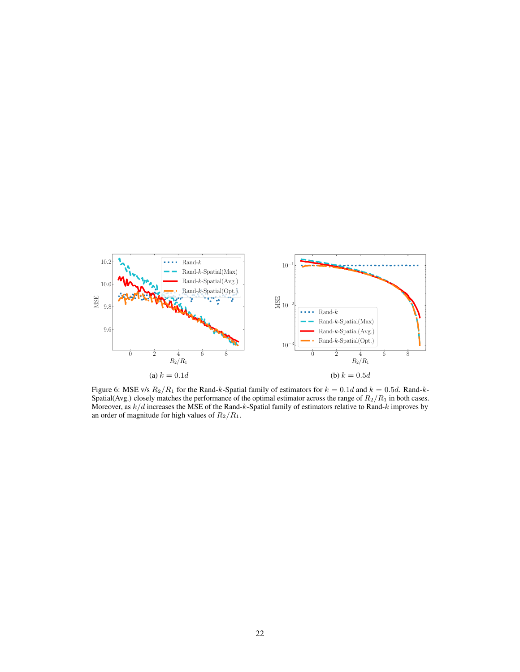

Figure 6: MSE v/s  $R_2/R_1$  for the Rand-k-Spatial family of estimators for  $k = 0.1d$  and  $k = 0.5d$ . Rand-k-Spatial(Avg.) closely matches the performance of the optimal estimator across the range of  $R_2/R_1$  in both cases. Moreover, as  $k/d$  increases the MSE of the Rand-k-Spatial family of estimators relative to Rand-k improves by an order of magnitude for high values of  $R_2/R_1$ .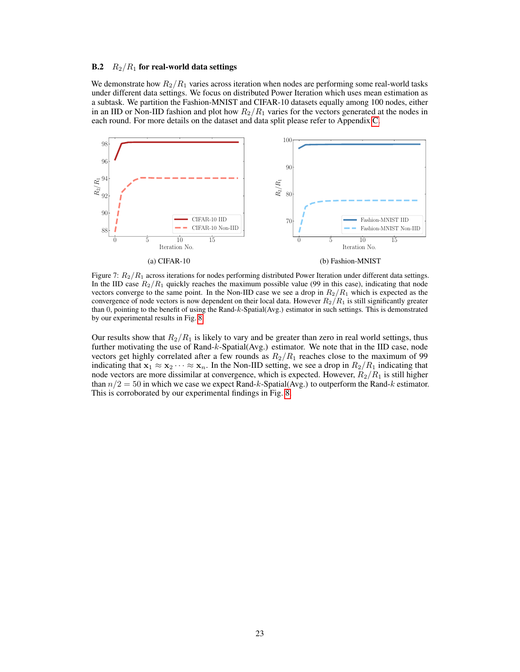## B.2  $R_2/R_1$  for real-world data settings

We demonstrate how  $R_2/R_1$  varies across iteration when nodes are performing some real-world tasks under different data settings. We focus on distributed Power Iteration which uses mean estimation as a subtask. We partition the Fashion-MNIST and CIFAR-10 datasets equally among 100 nodes, either in an IID or Non-IID fashion and plot how  $R_2/R_1$  varies for the vectors generated at the nodes in each round. For more details on the dataset and data split please refer to Appendix C.



Figure 7:  $R_2/R_1$  across iterations for nodes performing distributed Power Iteration under different data settings. In the IID case  $R_2/R_1$  quickly reaches the maximum possible value (99 in this case), indicating that node vectors converge to the same point. In the Non-IID case we see a drop in  $R_2/R_1$  which is expected as the convergence of node vectors is now dependent on their local data. However  $R_2/R_1$  is still significantly greater than 0, pointing to the benefit of using the Rand-k-Spatial(Avg.) estimator in such settings. This is demonstrated by our experimental results in Fig. 8.

Our results show that  $R_2/R_1$  is likely to vary and be greater than zero in real world settings, thus further motivating the use of Rand-k-Spatial(Avg.) estimator. We note that in the IID case, node vectors get highly correlated after a few rounds as  $R_2/R_1$  reaches close to the maximum of 99 indicating that  $x_1 \approx x_2 \cdots \approx x_n$ . In the Non-IID setting, we see a drop in  $R_2/R_1$  indicating that node vectors are more dissimilar at convergence, which is expected. However,  $R_2/R_1$  is still higher than  $n/2 = 50$  in which we case we expect Rand-k-Spatial(Avg.) to outperform the Rand-k estimator. This is corroborated by our experimental findings in Fig. 8.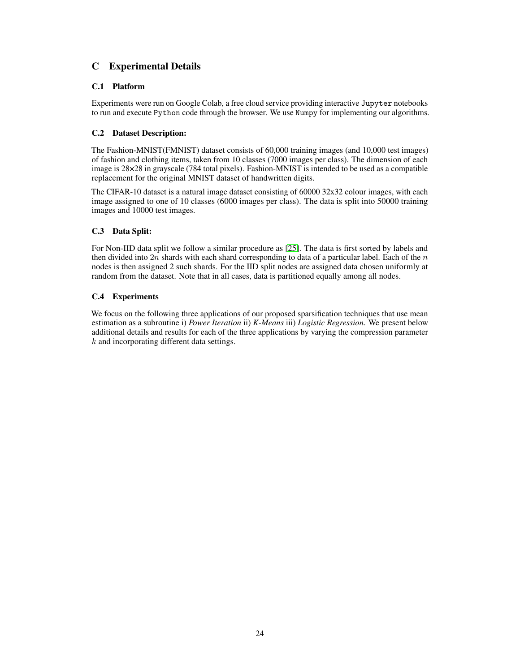# C Experimental Details

# C.1 Platform

Experiments were run on Google Colab, a free cloud service providing interactive Jupyter notebooks to run and execute Python code through the browser. We use Numpy for implementing our algorithms.

# C.2 Dataset Description:

The Fashion-MNIST(FMNIST) dataset consists of 60,000 training images (and 10,000 test images) of fashion and clothing items, taken from 10 classes (7000 images per class). The dimension of each image is 28×28 in grayscale (784 total pixels). Fashion-MNIST is intended to be used as a compatible replacement for the original MNIST dataset of handwritten digits.

The CIFAR-10 dataset is a natural image dataset consisting of 60000 32x32 colour images, with each image assigned to one of 10 classes (6000 images per class). The data is split into 50000 training images and 10000 test images.

# C.3 Data Split:

For Non-IID data split we follow a similar procedure as [\[25\]](#page-11-0). The data is first sorted by labels and then divided into  $2n$  shards with each shard corresponding to data of a particular label. Each of the n nodes is then assigned 2 such shards. For the IID split nodes are assigned data chosen uniformly at random from the dataset. Note that in all cases, data is partitioned equally among all nodes.

# C.4 Experiments

We focus on the following three applications of our proposed sparsification techniques that use mean estimation as a subroutine i) *Power Iteration* ii) *K-Means* iii) *Logistic Regression*. We present below additional details and results for each of the three applications by varying the compression parameter  $k$  and incorporating different data settings.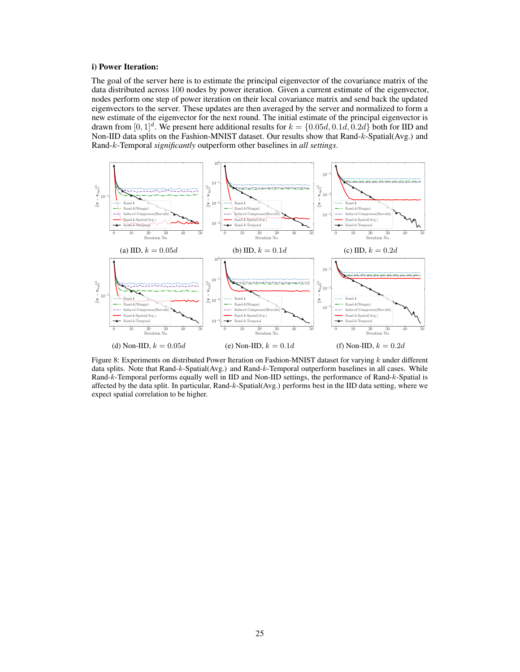## <span id="page-11-0"></span>i) Power Iteration:

The goal of the server here is to estimate the principal eigenvector of the covariance matrix of the data distributed across 100 nodes by power iteration. Given a current estimate of the eigenvector, nodes perform one step of power iteration on their local covariance matrix and send back the updated eigenvectors to the server. These updates are then averaged by the server and normalized to form a new estimate of the eigenvector for the next round. The initial estimate of the principal eigenvector is drawn from  $[0, 1]^d$ . We present here additional results for  $k = \{0.05d, 0.1d, 0.2d\}$  both for IID and Non-IID data splits on the Fashion-MNIST dataset. Our results show that Rand-k-Spatial(Avg.) and Rand-k-Temporal *significantly* outperform other baselines in *all settings*.



Figure 8: Experiments on distributed Power Iteration on Fashion-MNIST dataset for varying k under different data splits. Note that Rand-k-Spatial(Avg.) and Rand-k-Temporal outperform baselines in all cases. While Rand-k-Temporal performs equally well in IID and Non-IID settings, the performance of Rand-k-Spatial is affected by the data split. In particular, Rand-k-Spatial(Avg.) performs best in the IID data setting, where we expect spatial correlation to be higher.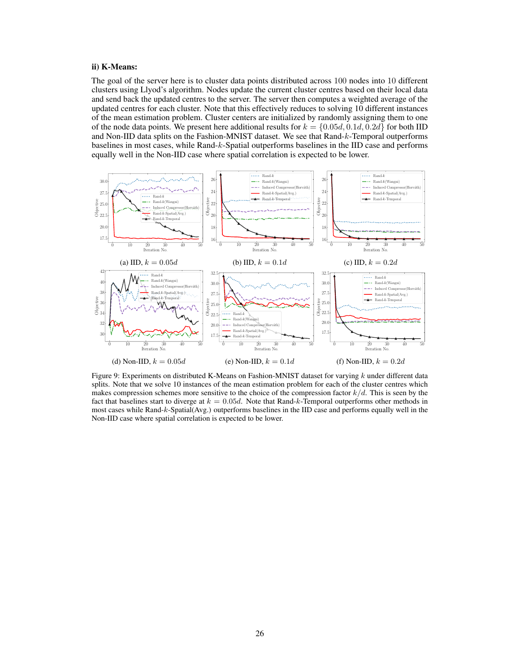## ii) K-Means:

The goal of the server here is to cluster data points distributed across 100 nodes into 10 different clusters using Llyod's algorithm. Nodes update the current cluster centres based on their local data and send back the updated centres to the server. The server then computes a weighted average of the updated centres for each cluster. Note that this effectively reduces to solving 10 different instances of the mean estimation problem. Cluster centers are initialized by randomly assigning them to one of the node data points. We present here additional results for  $k = \{0.05d, 0.1d, 0.2d\}$  for both IID and Non-IID data splits on the Fashion-MNIST dataset. We see that Rand-k-Temporal outperforms baselines in most cases, while Rand-k-Spatial outperforms baselines in the IID case and performs equally well in the Non-IID case where spatial correlation is expected to be lower.



Figure 9: Experiments on distributed K-Means on Fashion-MNIST dataset for varying  $k$  under different data splits. Note that we solve 10 instances of the mean estimation problem for each of the cluster centres which makes compression schemes more sensitive to the choice of the compression factor  $k/d$ . This is seen by the fact that baselines start to diverge at  $k = 0.05d$ . Note that Rand-k-Temporal outperforms other methods in most cases while Rand-k-Spatial(Avg.) outperforms baselines in the IID case and performs equally well in the Non-IID case where spatial correlation is expected to be lower.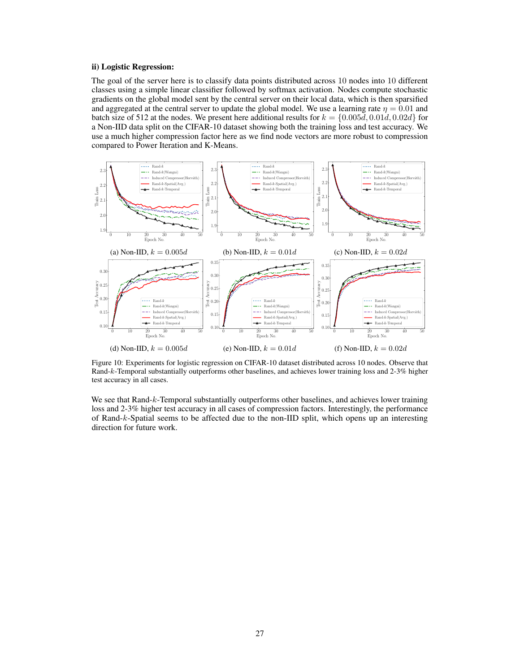### <span id="page-13-0"></span>ii) Logistic Regression:

The goal of the server here is to classify data points distributed across 10 nodes into 10 different classes using a simple linear classifier followed by softmax activation. Nodes compute stochastic gradients on the global model sent by the central server on their local data, which is then sparsified and aggregated at the central server to update the global model. We use a learning rate  $\eta = 0.01$  and batch size of 512 at the nodes. We present here additional results for  $k = \{0.005d, 0.01d, 0.02d\}$  for a Non-IID data split on the CIFAR-10 dataset showing both the training loss and test accuracy. We use a much higher compression factor here as we find node vectors are more robust to compression compared to Power Iteration and K-Means.



Figure 10: Experiments for logistic regression on CIFAR-10 dataset distributed across 10 nodes. Observe that Rand-k-Temporal substantially outperforms other baselines, and achieves lower training loss and 2-3% higher test accuracy in all cases.

We see that Rand-k-Temporal substantially outperforms other baselines, and achieves lower training loss and 2-3% higher test accuracy in all cases of compression factors. Interestingly, the performance of Rand-k-Spatial seems to be affected due to the non-IID split, which opens up an interesting direction for future work.